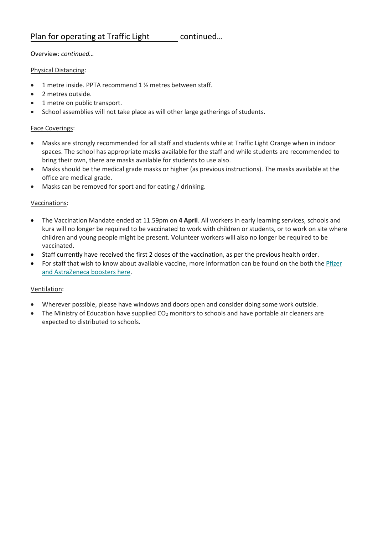#### Overview: *continued…*

#### Physical Distancing:

- 1 metre inside. PPTA recommend 1 ½ metres between staff.
- 2 metres outside.
- 1 metre on public transport.
- School assemblies will not take place as will other large gatherings of students.

#### Face Coverings:

- Masks are strongly recommended for all staff and students while at Traffic Light Orange when in indoor spaces. The school has appropriate masks available for the staff and while students are recommended to bring their own, there are masks available for students to use also.
- Masks should be the medical grade masks or higher (as previous instructions). The masks available at the office are medical grade.
- Masks can be removed for sport and for eating / drinking.

#### Vaccinations:

- The Vaccination Mandate ended at 11.59pm on **4 April**. All workers in early learning services, schools and kura will no longer be required to be vaccinated to work with children or students, or to work on site where children and young people might be present. Volunteer workers will also no longer be required to be vaccinated.
- Staff currently have received the first 2 doses of the vaccination, as per the previous health order.
- For staff that wish to know about available vaccine, more information can be found on the both the [Pfizer](https://govt.us3.list-manage.com/track/click?u=2f59fcd18a691d315b5a045cb&id=684eaabb46&e=d07dd4ee7f) [and AstraZeneca boosters here.](https://govt.us3.list-manage.com/track/click?u=2f59fcd18a691d315b5a045cb&id=684eaabb46&e=d07dd4ee7f)

#### Ventilation:

- Wherever possible, please have windows and doors open and consider doing some work outside.
- The Ministry of Education have supplied  $CO<sub>2</sub>$  monitors to schools and have portable air cleaners are expected to distributed to schools.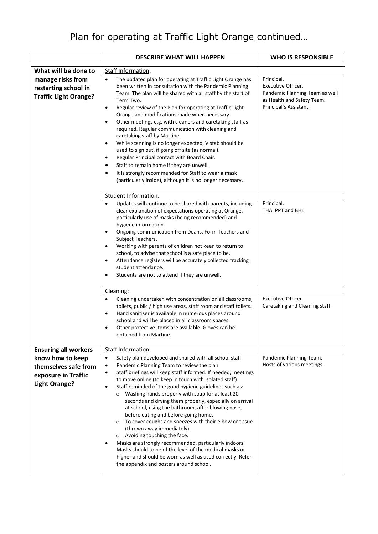|                                                                                         | <b>DESCRIBE WHAT WILL HAPPEN</b>                                                                                                                                                                                                                                                                                                                                                                                                                                                                                                                                                                                                                                                                                                                                                                                                                                                                                                                     | <b>WHO IS RESPONSIBLE</b>                                                                                                 |
|-----------------------------------------------------------------------------------------|------------------------------------------------------------------------------------------------------------------------------------------------------------------------------------------------------------------------------------------------------------------------------------------------------------------------------------------------------------------------------------------------------------------------------------------------------------------------------------------------------------------------------------------------------------------------------------------------------------------------------------------------------------------------------------------------------------------------------------------------------------------------------------------------------------------------------------------------------------------------------------------------------------------------------------------------------|---------------------------------------------------------------------------------------------------------------------------|
| What will be done to                                                                    | Staff Information:                                                                                                                                                                                                                                                                                                                                                                                                                                                                                                                                                                                                                                                                                                                                                                                                                                                                                                                                   |                                                                                                                           |
| manage risks from<br>restarting school in<br><b>Traffic Light Orange?</b>               | The updated plan for operating at Traffic Light Orange has<br>$\bullet$<br>been written in consultation with the Pandemic Planning<br>Team. The plan will be shared with all staff by the start of<br>Term Two.<br>Regular review of the Plan for operating at Traffic Light<br>$\bullet$<br>Orange and modifications made when necessary.<br>Other meetings e.g. with cleaners and caretaking staff as<br>$\bullet$<br>required. Regular communication with cleaning and<br>caretaking staff by Martine.<br>While scanning is no longer expected, Vistab should be<br>$\bullet$<br>used to sign out, if going off site (as normal).<br>Regular Principal contact with Board Chair.<br>$\bullet$<br>Staff to remain home if they are unwell.<br>$\bullet$<br>It is strongly recommended for Staff to wear a mask<br>$\bullet$<br>(particularly inside), although it is no longer necessary.                                                          | Principal.<br>Executive Officer.<br>Pandemic Planning Team as well<br>as Health and Safety Team.<br>Principal's Assistant |
|                                                                                         | Student Information:<br>Updates will continue to be shared with parents, including<br>$\bullet$<br>clear explanation of expectations operating at Orange,<br>particularly use of masks (being recommended) and<br>hygiene information.<br>Ongoing communication from Deans, Form Teachers and<br>$\bullet$<br>Subject Teachers.<br>Working with parents of children not keen to return to<br>$\bullet$<br>school, to advise that school is a safe place to be.<br>Attendance registers will be accurately collected tracking<br>$\bullet$<br>student attendance.<br>Students are not to attend if they are unwell.<br>$\bullet$<br>Cleaning:<br>Cleaning undertaken with concentration on all classrooms,<br>$\bullet$<br>toilets, public / high use areas, staff room and staff toilets.<br>Hand sanitiser is available in numerous places around<br>$\bullet$                                                                                      | Principal.<br>THA, PPT and BHI.<br>Executive Officer.<br>Caretaking and Cleaning staff.                                   |
|                                                                                         | school and will be placed in all classroom spaces.<br>Other protective items are available. Gloves can be<br>obtained from Martine.                                                                                                                                                                                                                                                                                                                                                                                                                                                                                                                                                                                                                                                                                                                                                                                                                  |                                                                                                                           |
| <b>Ensuring all workers</b>                                                             | Staff Information:                                                                                                                                                                                                                                                                                                                                                                                                                                                                                                                                                                                                                                                                                                                                                                                                                                                                                                                                   |                                                                                                                           |
| know how to keep<br>themselves safe from<br>exposure in Traffic<br><b>Light Orange?</b> | Safety plan developed and shared with all school staff.<br>$\bullet$<br>Pandemic Planning Team to review the plan.<br>$\bullet$<br>Staff briefings will keep staff informed. If needed, meetings<br>$\bullet$<br>to move online (to keep in touch with isolated staff).<br>Staff reminded of the good hygiene guidelines such as:<br>$\bullet$<br>Washing hands properly with soap for at least 20<br>$\circ$<br>seconds and drying them properly, especially on arrival<br>at school, using the bathroom, after blowing nose,<br>before eating and before going home.<br>To cover coughs and sneezes with their elbow or tissue<br>$\circ$<br>(thrown away immediately).<br>o Avoiding touching the face.<br>Masks are strongly recommended, particularly indoors.<br>$\bullet$<br>Masks should to be of the level of the medical masks or<br>higher and should be worn as well as used correctly. Refer<br>the appendix and posters around school. | Pandemic Planning Team.<br>Hosts of various meetings.                                                                     |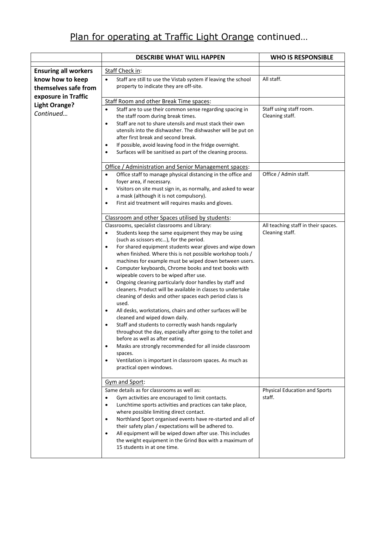|                             | <b>DESCRIBE WHAT WILL HAPPEN</b>                                                                                                     | <b>WHO IS RESPONSIBLE</b>                              |
|-----------------------------|--------------------------------------------------------------------------------------------------------------------------------------|--------------------------------------------------------|
| <b>Ensuring all workers</b> | Staff Check in:                                                                                                                      |                                                        |
| know how to keep            | Staff are still to use the Vistab system if leaving the school<br>$\bullet$                                                          | All staff.                                             |
| themselves safe from        | property to indicate they are off-site.                                                                                              |                                                        |
| exposure in Traffic         |                                                                                                                                      |                                                        |
| <b>Light Orange?</b>        | Staff Room and other Break Time spaces:                                                                                              |                                                        |
| Continued                   | Staff are to use their common sense regarding spacing in<br>$\bullet$<br>the staff room during break times.                          | Staff using staff room.<br>Cleaning staff.             |
|                             | Staff are not to share utensils and must stack their own<br>$\bullet$<br>utensils into the dishwasher. The dishwasher will be put on |                                                        |
|                             | after first break and second break.                                                                                                  |                                                        |
|                             | If possible, avoid leaving food in the fridge overnight.<br>$\bullet$                                                                |                                                        |
|                             | Surfaces will be sanitised as part of the cleaning process.<br>$\bullet$                                                             |                                                        |
|                             | Office / Administration and Senior Management spaces:                                                                                |                                                        |
|                             | Office staff to manage physical distancing in the office and<br>$\bullet$                                                            | Office / Admin staff.                                  |
|                             | foyer area, if necessary.                                                                                                            |                                                        |
|                             | Visitors on site must sign in, as normally, and asked to wear<br>$\bullet$<br>a mask (although it is not compulsory).                |                                                        |
|                             | First aid treatment will requires masks and gloves.<br>$\bullet$                                                                     |                                                        |
|                             |                                                                                                                                      |                                                        |
|                             | Classroom and other Spaces utilised by students:                                                                                     |                                                        |
|                             | Classrooms, specialist classrooms and Library:<br>Students keep the same equipment they may be using                                 | All teaching staff in their spaces.<br>Cleaning staff. |
|                             | $\bullet$<br>(such as scissors etc), for the period.                                                                                 |                                                        |
|                             | For shared equipment students wear gloves and wipe down<br>$\bullet$                                                                 |                                                        |
|                             | when finished. Where this is not possible workshop tools /                                                                           |                                                        |
|                             | machines for example must be wiped down between users.                                                                               |                                                        |
|                             | Computer keyboards, Chrome books and text books with<br>$\bullet$                                                                    |                                                        |
|                             | wipeable covers to be wiped after use.<br>Ongoing cleaning particularly door handles by staff and<br>$\bullet$                       |                                                        |
|                             | cleaners. Product will be available in classes to undertake                                                                          |                                                        |
|                             | cleaning of desks and other spaces each period class is                                                                              |                                                        |
|                             | used.                                                                                                                                |                                                        |
|                             | All desks, workstations, chairs and other surfaces will be<br>$\bullet$<br>cleaned and wiped down daily.                             |                                                        |
|                             | Staff and students to correctly wash hands regularly                                                                                 |                                                        |
|                             | throughout the day, especially after going to the toilet and                                                                         |                                                        |
|                             | before as well as after eating.                                                                                                      |                                                        |
|                             | Masks are strongly recommended for all inside classroom<br>$\bullet$                                                                 |                                                        |
|                             | spaces.<br>Ventilation is important in classroom spaces. As much as<br>$\bullet$                                                     |                                                        |
|                             | practical open windows.                                                                                                              |                                                        |
|                             | Gym and Sport:                                                                                                                       |                                                        |
|                             | Same details as for classrooms as well as:                                                                                           | Physical Education and Sports                          |
|                             | Gym activities are encouraged to limit contacts.<br>$\bullet$                                                                        | staff.                                                 |
|                             | Lunchtime sports activities and practices can take place,<br>$\bullet$<br>where possible limiting direct contact.                    |                                                        |
|                             | Northland Sport organised events have re-started and all of<br>$\bullet$                                                             |                                                        |
|                             | their safety plan / expectations will be adhered to.                                                                                 |                                                        |
|                             | All equipment will be wiped down after use. This includes<br>$\bullet$                                                               |                                                        |
|                             | the weight equipment in the Grind Box with a maximum of                                                                              |                                                        |
|                             | 15 students in at one time.                                                                                                          |                                                        |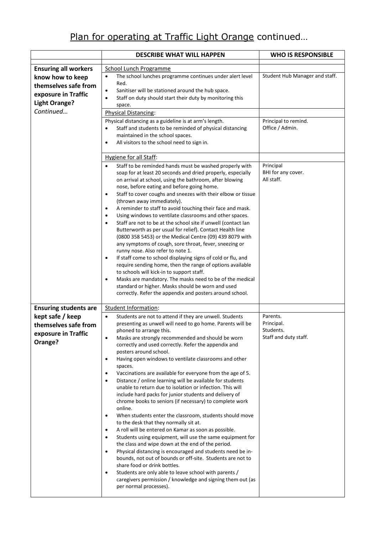|                                                                                         | <b>DESCRIBE WHAT WILL HAPPEN</b>                                                                                                                                                                                                                                                                                                                                                                                                                                                                                                                                                                                                                                                                                                                                                                                                                                                                                                                                                                                                                                                                                                                                                                                                                                                                                                                                                                          | <b>WHO IS RESPONSIBLE</b>                                    |
|-----------------------------------------------------------------------------------------|-----------------------------------------------------------------------------------------------------------------------------------------------------------------------------------------------------------------------------------------------------------------------------------------------------------------------------------------------------------------------------------------------------------------------------------------------------------------------------------------------------------------------------------------------------------------------------------------------------------------------------------------------------------------------------------------------------------------------------------------------------------------------------------------------------------------------------------------------------------------------------------------------------------------------------------------------------------------------------------------------------------------------------------------------------------------------------------------------------------------------------------------------------------------------------------------------------------------------------------------------------------------------------------------------------------------------------------------------------------------------------------------------------------|--------------------------------------------------------------|
| <b>Ensuring all workers</b>                                                             | <b>School Lunch Programme</b>                                                                                                                                                                                                                                                                                                                                                                                                                                                                                                                                                                                                                                                                                                                                                                                                                                                                                                                                                                                                                                                                                                                                                                                                                                                                                                                                                                             |                                                              |
| know how to keep<br>themselves safe from<br>exposure in Traffic<br><b>Light Orange?</b> | The school lunches programme continues under alert level<br>$\bullet$<br>Red.<br>Sanitiser will be stationed around the hub space.<br>$\bullet$<br>Staff on duty should start their duty by monitoring this<br>$\bullet$                                                                                                                                                                                                                                                                                                                                                                                                                                                                                                                                                                                                                                                                                                                                                                                                                                                                                                                                                                                                                                                                                                                                                                                  | Student Hub Manager and staff.                               |
| Continued                                                                               | space.<br><b>Physical Distancing:</b>                                                                                                                                                                                                                                                                                                                                                                                                                                                                                                                                                                                                                                                                                                                                                                                                                                                                                                                                                                                                                                                                                                                                                                                                                                                                                                                                                                     |                                                              |
|                                                                                         | Physical distancing as a guideline is at arm's length.<br>Staff and students to be reminded of physical distancing<br>maintained in the school spaces.<br>All visitors to the school need to sign in.<br>$\bullet$                                                                                                                                                                                                                                                                                                                                                                                                                                                                                                                                                                                                                                                                                                                                                                                                                                                                                                                                                                                                                                                                                                                                                                                        | Principal to remind.<br>Office / Admin.                      |
|                                                                                         | Hygiene for all Staff:                                                                                                                                                                                                                                                                                                                                                                                                                                                                                                                                                                                                                                                                                                                                                                                                                                                                                                                                                                                                                                                                                                                                                                                                                                                                                                                                                                                    |                                                              |
|                                                                                         | Staff to be reminded hands must be washed properly with<br>soap for at least 20 seconds and dried properly, especially<br>on arrival at school, using the bathroom, after blowing<br>nose, before eating and before going home.<br>Staff to cover coughs and sneezes with their elbow or tissue<br>$\bullet$<br>(thrown away immediately).<br>A reminder to staff to avoid touching their face and mask.<br>$\bullet$<br>Using windows to ventilate classrooms and other spaces.<br>$\bullet$<br>Staff are not to be at the school site if unwell (contact lan<br>$\bullet$<br>Butterworth as per usual for relief). Contact Health line<br>(0800 358 5453) or the Medical Centre (09) 439 8079 with<br>any symptoms of cough, sore throat, fever, sneezing or<br>runny nose. Also refer to note 1.<br>If staff come to school displaying signs of cold or flu, and<br>$\bullet$<br>require sending home, then the range of options available<br>to schools will kick-in to support staff.<br>Masks are mandatory. The masks need to be of the medical<br>$\bullet$<br>standard or higher. Masks should be worn and used<br>correctly. Refer the appendix and posters around school.                                                                                                                                                                                                                      | Principal<br>BHI for any cover.<br>All staff.                |
| <b>Ensuring students are</b>                                                            | Student Information:                                                                                                                                                                                                                                                                                                                                                                                                                                                                                                                                                                                                                                                                                                                                                                                                                                                                                                                                                                                                                                                                                                                                                                                                                                                                                                                                                                                      |                                                              |
| kept safe / keep<br>themselves safe from<br>exposure in Traffic<br>Orange?              | Students are not to attend if they are unwell. Students<br>$\bullet$<br>presenting as unwell will need to go home. Parents will be<br>phoned to arrange this.<br>Masks are strongly recommended and should be worn<br>$\bullet$<br>correctly and used correctly. Refer the appendix and<br>posters around school.<br>Having open windows to ventilate classrooms and other<br>$\bullet$<br>spaces.<br>Vaccinations are available for everyone from the age of 5.<br>$\bullet$<br>Distance / online learning will be available for students<br>$\bullet$<br>unable to return due to isolation or infection. This will<br>include hard packs for junior students and delivery of<br>chrome books to seniors (if necessary) to complete work<br>online.<br>When students enter the classroom, students should move<br>$\bullet$<br>to the desk that they normally sit at.<br>A roll will be entered on Kamar as soon as possible.<br>$\bullet$<br>Students using equipment, will use the same equipment for<br>٠<br>the class and wipe down at the end of the period.<br>Physical distancing is encouraged and students need be in-<br>$\bullet$<br>bounds, not out of bounds or off-site. Students are not to<br>share food or drink bottles.<br>Students are only able to leave school with parents /<br>$\bullet$<br>caregivers permission / knowledge and signing them out (as<br>per normal processes). | Parents.<br>Principal.<br>Students.<br>Staff and duty staff. |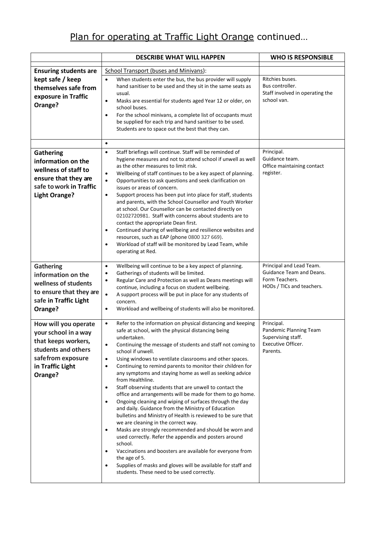|                                                                                                                                                | <b>DESCRIBE WHAT WILL HAPPEN</b>                                                                                                                                                                                                                                                                                                                                                                                                                                                                                                                                                                                                                                                                                                                                                                                                                                                                                                                                                                                                                                                                                                                                                                                          | <b>WHO IS RESPONSIBLE</b>                                                                           |
|------------------------------------------------------------------------------------------------------------------------------------------------|---------------------------------------------------------------------------------------------------------------------------------------------------------------------------------------------------------------------------------------------------------------------------------------------------------------------------------------------------------------------------------------------------------------------------------------------------------------------------------------------------------------------------------------------------------------------------------------------------------------------------------------------------------------------------------------------------------------------------------------------------------------------------------------------------------------------------------------------------------------------------------------------------------------------------------------------------------------------------------------------------------------------------------------------------------------------------------------------------------------------------------------------------------------------------------------------------------------------------|-----------------------------------------------------------------------------------------------------|
| <b>Ensuring students are</b>                                                                                                                   | School Transport (buses and Minivans):                                                                                                                                                                                                                                                                                                                                                                                                                                                                                                                                                                                                                                                                                                                                                                                                                                                                                                                                                                                                                                                                                                                                                                                    |                                                                                                     |
| kept safe / keep<br>themselves safe from<br>exposure in Traffic<br>Orange?                                                                     | When students enter the bus, the bus provider will supply<br>$\bullet$<br>hand sanitiser to be used and they sit in the same seats as<br>usual.<br>Masks are essential for students aged Year 12 or older, on<br>$\bullet$<br>school buses.<br>For the school minivans, a complete list of occupants must<br>$\bullet$<br>be supplied for each trip and hand sanitiser to be used.<br>Students are to space out the best that they can.                                                                                                                                                                                                                                                                                                                                                                                                                                                                                                                                                                                                                                                                                                                                                                                   | Ritchies buses.<br>Bus controller.<br>Staff involved in operating the<br>school van.                |
|                                                                                                                                                | $\bullet$                                                                                                                                                                                                                                                                                                                                                                                                                                                                                                                                                                                                                                                                                                                                                                                                                                                                                                                                                                                                                                                                                                                                                                                                                 |                                                                                                     |
| <b>Gathering</b><br>information on the<br>wellness of staff to<br>ensure that they are<br>safe to work in Traffic<br><b>Light Orange?</b>      | Staff briefings will continue. Staff will be reminded of<br>$\bullet$<br>hygiene measures and not to attend school if unwell as well<br>as the other measures to limit risk.<br>Wellbeing of staff continues to be a key aspect of planning.<br>$\bullet$<br>Opportunities to ask questions and seek clarification on<br>$\bullet$<br>issues or areas of concern.<br>Support process has been put into place for staff, students<br>$\bullet$<br>and parents, with the School Counsellor and Youth Worker<br>at school. Our Counsellor can be contacted directly on<br>02102720981. Staff with concerns about students are to<br>contact the appropriate Dean first.<br>Continued sharing of wellbeing and resilience websites and<br>$\bullet$<br>resources, such as EAP (phone 0800 327 669).<br>Workload of staff will be monitored by Lead Team, while<br>$\bullet$<br>operating at Red.                                                                                                                                                                                                                                                                                                                              | Principal.<br>Guidance team.<br>Office maintaining contact<br>register.                             |
| <b>Gathering</b><br>information on the<br>wellness of students<br>to ensure that they are<br>safe in Traffic Light<br>Orange?                  | Wellbeing will continue to be a key aspect of planning.<br>$\bullet$<br>Gatherings of students will be limited.<br>$\bullet$<br>Regular Care and Protection as well as Deans meetings will<br>$\bullet$<br>continue, including a focus on student wellbeing.<br>A support process will be put in place for any students of<br>$\bullet$<br>concern.<br>Workload and wellbeing of students will also be monitored.<br>$\bullet$                                                                                                                                                                                                                                                                                                                                                                                                                                                                                                                                                                                                                                                                                                                                                                                            | Principal and Lead Team.<br>Guidance Team and Deans.<br>Form Teachers.<br>HODs / TICs and teachers. |
| How will you operate<br>your school in a way<br>that keeps workers,<br>students and others<br>safefrom exposure<br>in Traffic Light<br>Orange? | Refer to the information on physical distancing and keeping<br>$\bullet$<br>safe at school, with the physical distancing being<br>undertaken.<br>Continuing the message of students and staff not coming to<br>$\bullet$<br>school if unwell.<br>Using windows to ventilate classrooms and other spaces.<br>$\bullet$<br>Continuing to remind parents to monitor their children for<br>$\bullet$<br>any symptoms and staying home as well as seeking advice<br>from Healthline.<br>Staff observing students that are unwell to contact the<br>$\bullet$<br>office and arrangements will be made for them to go home.<br>Ongoing cleaning and wiping of surfaces through the day<br>$\bullet$<br>and daily. Guidance from the Ministry of Education<br>bulletins and Ministry of Health is reviewed to be sure that<br>we are cleaning in the correct way.<br>Masks are strongly recommended and should be worn and<br>$\bullet$<br>used correctly. Refer the appendix and posters around<br>school.<br>Vaccinations and boosters are available for everyone from<br>$\bullet$<br>the age of 5.<br>Supplies of masks and gloves will be available for staff and<br>$\bullet$<br>students. These need to be used correctly. | Principal.<br>Pandemic Planning Team<br>Supervising staff.<br>Executive Officer.<br>Parents.        |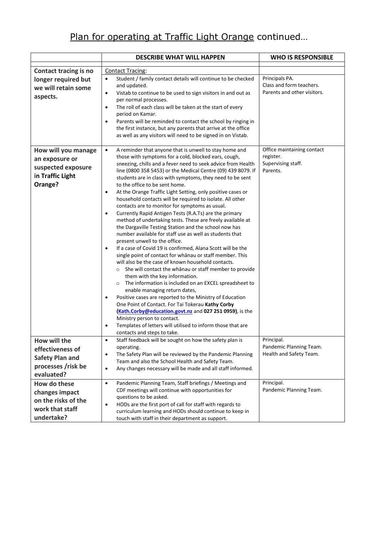|                                                                                                | <b>DESCRIBE WHAT WILL HAPPEN</b>                                                                                                                                                                                                                                                                                                                                                                                                                                                                                                                                                                                                                                                                                                                                                                                                                                                                                                                                                                                                                                                                                                                                                                                                                                                                                                                                                                                                                                                                                                                                                             | <b>WHO IS RESPONSIBLE</b>                                                 |
|------------------------------------------------------------------------------------------------|----------------------------------------------------------------------------------------------------------------------------------------------------------------------------------------------------------------------------------------------------------------------------------------------------------------------------------------------------------------------------------------------------------------------------------------------------------------------------------------------------------------------------------------------------------------------------------------------------------------------------------------------------------------------------------------------------------------------------------------------------------------------------------------------------------------------------------------------------------------------------------------------------------------------------------------------------------------------------------------------------------------------------------------------------------------------------------------------------------------------------------------------------------------------------------------------------------------------------------------------------------------------------------------------------------------------------------------------------------------------------------------------------------------------------------------------------------------------------------------------------------------------------------------------------------------------------------------------|---------------------------------------------------------------------------|
| <b>Contact tracing is no</b>                                                                   | <b>Contact Tracing:</b>                                                                                                                                                                                                                                                                                                                                                                                                                                                                                                                                                                                                                                                                                                                                                                                                                                                                                                                                                                                                                                                                                                                                                                                                                                                                                                                                                                                                                                                                                                                                                                      |                                                                           |
| longer required but<br>we will retain some<br>aspects.                                         | Student / family contact details will continue to be checked<br>$\bullet$<br>and updated.<br>Vistab to continue to be used to sign visitors in and out as<br>$\bullet$<br>per normal processes.<br>The roll of each class will be taken at the start of every<br>$\bullet$<br>period on Kamar.<br>Parents will be reminded to contact the school by ringing in<br>$\bullet$<br>the first instance, but any parents that arrive at the office<br>as well as any visitors will need to be signed in on Vistab.                                                                                                                                                                                                                                                                                                                                                                                                                                                                                                                                                                                                                                                                                                                                                                                                                                                                                                                                                                                                                                                                                 | Principals PA.<br>Class and form teachers.<br>Parents and other visitors. |
| How will you manage<br>an exposure or<br>suspected exposure<br>in Traffic Light<br>Orange?     | A reminder that anyone that is unwell to stay home and<br>$\bullet$<br>those with symptoms for a cold, blocked ears, cough,<br>sneezing, chills and a fever need to seek advice from Health<br>line (0800 358 5453) or the Medical Centre (09) 439 8079. If<br>students are in class with symptoms, they need to be sent<br>to the office to be sent home.<br>At the Orange Traffic Light Setting, only positive cases or<br>$\bullet$<br>household contacts will be required to isolate. All other<br>contacts are to monitor for symptoms as usual.<br>Currently Rapid Antigen Tests (R.A.Ts) are the primary<br>$\bullet$<br>method of undertaking tests. These are freely available at<br>the Dargaville Testing Station and the school now has<br>number available for staff use as well as students that<br>present unwell to the office.<br>If a case of Covid 19 is confirmed, Alana Scott will be the<br>$\bullet$<br>single point of contact for whanau or staff member. This<br>will also be the case of known household contacts.<br>She will contact the whanau or staff member to provide<br>$\circ$<br>them with the key information.<br>The information is included on an EXCEL spreadsheet to<br>$\circ$<br>enable managing return dates,<br>Positive cases are reported to the Ministry of Education<br>$\bullet$<br>One Point of Contact. For Tai Tokerau Kathy Corby<br>Kath.Corby@education.govt.nz and 027 251 0959), is the<br>Ministry person to contact.<br>Templates of letters will utilised to inform those that are<br>$\bullet$<br>contacts and steps to take. | Office maintaining contact<br>register.<br>Supervising staff.<br>Parents. |
| How will the<br>effectiveness of<br><b>Safety Plan and</b><br>processes /risk be<br>evaluated? | Staff feedback will be sought on how the safety plan is<br>$\bullet$<br>operating.<br>The Safety Plan will be reviewed by the Pandemic Planning<br>$\bullet$<br>Team and also the School Health and Safety Team.<br>Any changes necessary will be made and all staff informed.<br>$\bullet$                                                                                                                                                                                                                                                                                                                                                                                                                                                                                                                                                                                                                                                                                                                                                                                                                                                                                                                                                                                                                                                                                                                                                                                                                                                                                                  | Principal.<br>Pandemic Planning Team.<br>Health and Safety Team.          |
| How do these<br>changes impact<br>on the risks of the<br>work that staff<br>undertake?         | Pandemic Planning Team, Staff briefings / Meetings and<br>$\bullet$<br>CDF meetings will continue with opportunities for<br>questions to be asked.<br>HODs are the first port of call for staff with regards to<br>$\bullet$<br>curriculum learning and HODs should continue to keep in<br>touch with staff in their department as support.                                                                                                                                                                                                                                                                                                                                                                                                                                                                                                                                                                                                                                                                                                                                                                                                                                                                                                                                                                                                                                                                                                                                                                                                                                                  | Principal.<br>Pandemic Planning Team.                                     |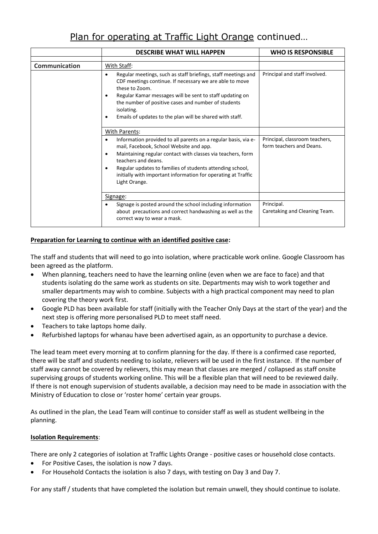|                      | <b>DESCRIBE WHAT WILL HAPPEN</b>                                                                                                                                                                                                                                                                                                                                         | <b>WHO IS RESPONSIBLE</b>                                  |
|----------------------|--------------------------------------------------------------------------------------------------------------------------------------------------------------------------------------------------------------------------------------------------------------------------------------------------------------------------------------------------------------------------|------------------------------------------------------------|
| <b>Communication</b> | With Staff:                                                                                                                                                                                                                                                                                                                                                              |                                                            |
|                      | Regular meetings, such as staff briefings, staff meetings and<br>$\bullet$<br>CDF meetings continue. If necessary we are able to move<br>these to Zoom.<br>Regular Kamar messages will be sent to staff updating on<br>٠<br>the number of positive cases and number of students<br>isolating.<br>Emails of updates to the plan will be shared with staff.<br>٠           | Principal and staff involved.                              |
|                      | With Parents:                                                                                                                                                                                                                                                                                                                                                            |                                                            |
|                      | Information provided to all parents on a regular basis, via e-<br>mail, Facebook, School Website and app.<br>Maintaining regular contact with classes via teachers, form<br>$\bullet$<br>teachers and deans.<br>Regular updates to families of students attending school,<br>$\bullet$<br>initially with important information for operating at Traffic<br>Light Orange. | Principal, classroom teachers,<br>form teachers and Deans. |
|                      | Signage:                                                                                                                                                                                                                                                                                                                                                                 |                                                            |
|                      | Signage is posted around the school including information<br>about precautions and correct handwashing as well as the<br>correct way to wear a mask.                                                                                                                                                                                                                     | Principal.<br>Caretaking and Cleaning Team.                |

#### **Preparation for Learning to continue with an identified positive case:**

The staff and students that will need to go into isolation, where practicable work online. Google Classroom has been agreed as the platform.

- When planning, teachers need to have the learning online (even when we are face to face) and that students isolating do the same work as students on site. Departments may wish to work together and smaller departments may wish to combine. Subjects with a high practical component may need to plan covering the theory work first.
- Google PLD has been available for staff (initially with the Teacher Only Days at the start of the year) and the next step is offering more personalised PLD to meet staff need.
- Teachers to take laptops home daily.
- Refurbished laptops for whanau have been advertised again, as an opportunity to purchase a device.

The lead team meet every morning at to confirm planning for the day. If there is a confirmed case reported, there will be staff and students needing to isolate, relievers will be used in the first instance. If the number of staff away cannot be covered by relievers, this may mean that classes are merged / collapsed as staff onsite supervising groups of students working online. This will be a flexible plan that will need to be reviewed daily. If there is not enough supervision of students available, a decision may need to be made in association with the Ministry of Education to close or 'roster home' certain year groups.

As outlined in the plan, the Lead Team will continue to consider staff as well as student wellbeing in the planning.

#### **Isolation Requirements**:

There are only 2 categories of isolation at Traffic Lights Orange - positive cases or household close contacts.

- For Positive Cases, the isolation is now 7 days.
- For Household Contacts the isolation is also 7 days, with testing on Day 3 and Day 7.

For any staff / students that have completed the isolation but remain unwell, they should continue to isolate.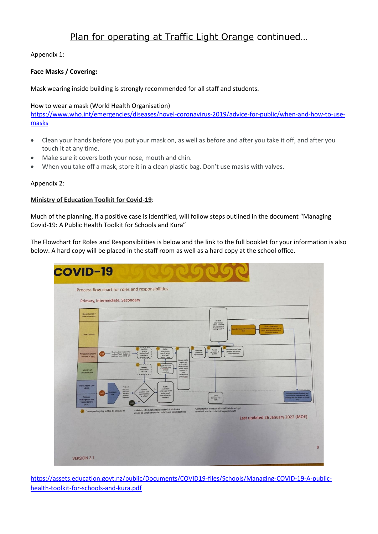Appendix 1:

#### **Face Masks / Covering:**

Mask wearing inside building is strongly recommended for all staff and students.

#### How to wear a mask (World Health Organisation)

[https://www.who.int/emergencies/diseases/novel-coronavirus-2019/advice-for-public/when-and-how-to-use](https://www.who.int/emergencies/diseases/novel-coronavirus-2019/advice-for-public/when-and-how-to-use-masks)[masks](https://www.who.int/emergencies/diseases/novel-coronavirus-2019/advice-for-public/when-and-how-to-use-masks)

- Clean your hands before you put your mask on, as well as before and after you take it off, and after you touch it at any time.
- Make sure it covers both your nose, mouth and chin.
- When you take off a mask, store it in a clean plastic bag. Don't use masks with valves.

#### Appendix 2:

#### **Ministry of Education Toolkit for Covid-19**:

Much of the planning, if a positive case is identified, will follow steps outlined in the document "Managing Covid-19: A Public Health Toolkit for Schools and Kura"

The Flowchart for Roles and Responsibilities is below and the link to the full booklet for your information is also below. A hard copy will be placed in the staff room as well as a hard copy at the school office.



[https://assets.education.govt.nz/public/Documents/COVID19-files/Schools/Managing-COVID-19-A-public](https://assets.education.govt.nz/public/Documents/COVID19-files/Schools/Managing-COVID-19-A-public-health-toolkit-for-schools-and-kura.pdf)[health-toolkit-for-schools-and-kura.pdf](https://assets.education.govt.nz/public/Documents/COVID19-files/Schools/Managing-COVID-19-A-public-health-toolkit-for-schools-and-kura.pdf)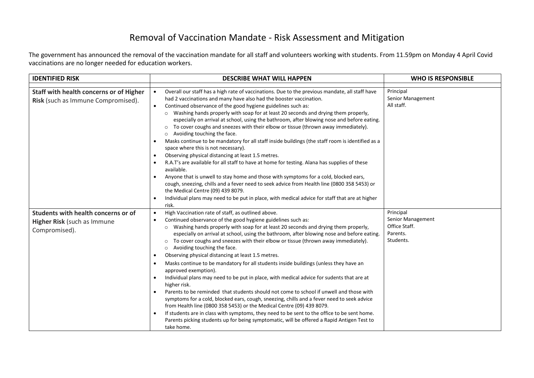## Removal of Vaccination Mandate - Risk Assessment and Mitigation

The government has announced the removal of the vaccination mandate for all staff and volunteers working with students. From 11.59pm on Monday 4 April Covid vaccinations are no longer needed for education workers.

| <b>IDENTIFIED RISK</b>                                                        | <b>DESCRIBE WHAT WILL HAPPEN</b>                                                                                                                                                                                                                                                                                                                                                                                                                                                                                                                                                                                                                                                                                                                                                                                                                                                                                                                                                                                                                                                                                                                                               | <b>WHO IS RESPONSIBLE</b>                                   |
|-------------------------------------------------------------------------------|--------------------------------------------------------------------------------------------------------------------------------------------------------------------------------------------------------------------------------------------------------------------------------------------------------------------------------------------------------------------------------------------------------------------------------------------------------------------------------------------------------------------------------------------------------------------------------------------------------------------------------------------------------------------------------------------------------------------------------------------------------------------------------------------------------------------------------------------------------------------------------------------------------------------------------------------------------------------------------------------------------------------------------------------------------------------------------------------------------------------------------------------------------------------------------|-------------------------------------------------------------|
| Staff with health concerns or of Higher<br>Risk (such as Immune Compromised). | Overall our staff has a high rate of vaccinations. Due to the previous mandate, all staff have<br>$\bullet$<br>had 2 vaccinations and many have also had the booster vaccination.<br>Continued observance of the good hygiene guidelines such as:<br>$\bullet$<br>o Washing hands properly with soap for at least 20 seconds and drying them properly,<br>especially on arrival at school, using the bathroom, after blowing nose and before eating.<br>To cover coughs and sneezes with their elbow or tissue (thrown away immediately).<br>Avoiding touching the face.<br>Masks continue to be mandatory for all staff inside buildings (the staff room is identified as a<br>$\bullet$<br>space where this is not necessary).<br>Observing physical distancing at least 1.5 metres.<br>$\bullet$<br>R.A.T's are available for all staff to have at home for testing. Alana has supplies of these<br>available.<br>Anyone that is unwell to stay home and those with symptoms for a cold, blocked ears,                                                                                                                                                                      | Principal<br>Senior Management<br>All staff.                |
| Students with health concerns or of                                           | cough, sneezing, chills and a fever need to seek advice from Health line (0800 358 5453) or<br>the Medical Centre (09) 439 8079.<br>Individual plans may need to be put in place, with medical advice for staff that are at higher<br>risk.<br>High Vaccination rate of staff, as outlined above.<br>$\bullet$                                                                                                                                                                                                                                                                                                                                                                                                                                                                                                                                                                                                                                                                                                                                                                                                                                                                 | Principal                                                   |
| Higher Risk (such as Immune<br>Compromised).                                  | Continued observance of the good hygiene guidelines such as:<br>$\bullet$<br>o Washing hands properly with soap for at least 20 seconds and drying them properly,<br>especially on arrival at school, using the bathroom, after blowing nose and before eating.<br>To cover coughs and sneezes with their elbow or tissue (thrown away immediately).<br>Avoiding touching the face.<br>Observing physical distancing at least 1.5 metres.<br>$\bullet$<br>Masks continue to be mandatory for all students inside buildings (unless they have an<br>approved exemption).<br>Individual plans may need to be put in place, with medical advice for sudents that are at<br>higher risk.<br>Parents to be reminded that students should not come to school if unwell and those with<br>$\bullet$<br>symptoms for a cold, blocked ears, cough, sneezing, chills and a fever need to seek advice<br>from Health line (0800 358 5453) or the Medical Centre (09) 439 8079.<br>If students are in class with symptoms, they need to be sent to the office to be sent home.<br>Parents picking students up for being symptomatic, will be offered a Rapid Antigen Test to<br>take home. | Senior Management<br>Office Staff.<br>Parents.<br>Students. |